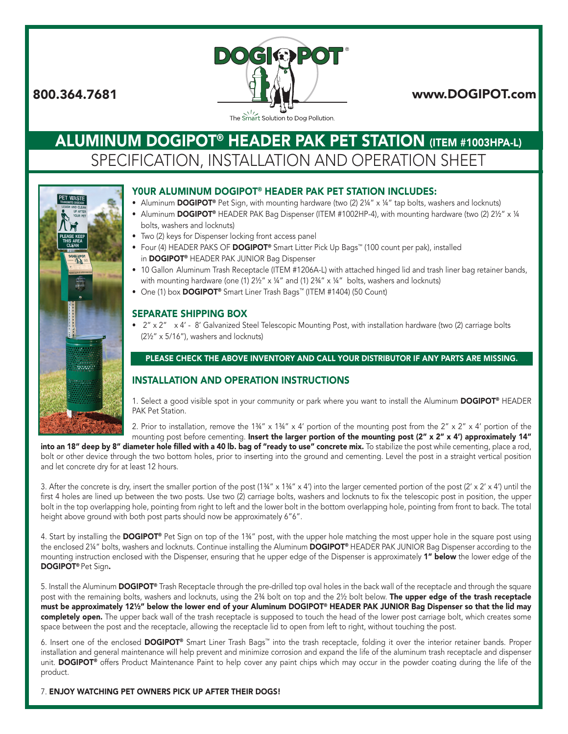

The Smart Solution to Dog Pollution.

# **ALUMINUM DOGIPOT® HEADER PAK PET STATION (ITEM #1003HPA-L)** SPECIFICATION, INSTALLATION AND OPERATION SHEET



### Y0ur Aluminum DOGIPOT® HEADER PAK PET STATION INcLuDES:

- Aluminum DOGIPOT® Pet Sign, with mounting hardware (two  $(2)$  2¼" x ¼" tap bolts, washers and locknuts)
- Aluminum DOGIPOT® HEADER PAK Bag Dispenser (ITEM #1002HP-4), with mounting hardware (two (2) 21/2" x 1/4 bolts, washers and locknuts)
- Two (2) keys for Dispenser locking front access panel
- Four (4) HEADER PAKS OF DOGIPOT® Smart Litter Pick Up Bags™ (100 count per pak), installed in DOGIPOT® HEADER PAK JUNIOR Bag Dispenser
- 10 Gallon Aluminum Trash Receptacle (ITEM #1206A-L) with attached hinged lid and trash liner bag retainer bands, with mounting hardware (one (1)  $2\frac{1}{2}$ " x 1/4" and (1)  $2\frac{3}{4}$ " x 1/4" bolts, washers and locknuts)
- One (1) box DOGIPOT<sup>®</sup> Smart Liner Trash Bags<sup>™</sup> (ITEM #1404) (50 Count)

## SEPArATE SHIPPING BOx

• 2" x 2" x 4' - 8' Galvanized Steel Telescopic Mounting Post, with installation hardware (two (2) carriage bolts (2½" x 5/16"), washers and locknuts)

### PLEASE CHECK THE ABOVE INVENTORY AND CALL YOUR DISTRIBUTOR IF ANY PARTS ARE MISSING.

# INSTALLATION AND OPErATION INSTrucTIONS

1. Select a good visible spot in your community or park where you want to install the Aluminum DOGIPOT® HEADER PAK Pet Station.

2. Prior to installation, remove the  $1\frac{3}{4}$ " x  $4\frac{13}{4}$ " x  $4\frac{1}{4}$  portion of the mounting post from the  $2$ " x  $2$ " x  $4\frac{1}{4}$  portion of the mounting post before cementing. Insert the larger portion of the mounting post (2" x 2" x 4') approximately 14"

into an 18" deep by 8" diameter hole filled with a 40 lb. bag of "ready to use" concrete mix. To stabilize the post while cementing, place a rod, bolt or other device through the two bottom holes, prior to inserting into the ground and cementing. Level the post in a straight vertical position and let concrete dry for at least 12 hours.

3. After the concrete is dry, insert the smaller portion of the post  $(1\frac{3}{4}$ " x  $1\frac{3}{4}$ " x  $4$ ") into the larger cemented portion of the post  $(2' \times 2' \times 4')$  until the first 4 holes are lined up between the two posts. Use two (2) carriage bolts, washers and locknuts to fix the telescopic post in position, the upper bolt in the top overlapping hole, pointing from right to left and the lower bolt in the bottom overlapping hole, pointing from front to back. The total height above ground with both post parts should now be approximately 6"6".

4. Start by installing the DOGIPOT® Pet Sign on top of the 1¾" post, with the upper hole matching the most upper hole in the square post using the enclosed 2¼" bolts, washers and locknuts. Continue installing the Aluminum DOGIPOT® HEADER PAK JUNIOR Bag Dispenser according to the mounting instruction enclosed with the Dispenser, ensuring that he upper edge of the Dispenser is approximately 1" below the lower edge of the DOGIPOT® Pet Sign.

5. Install the Aluminum DOGIPOT® Trash Receptacle through the pre-drilled top oval holes in the back wall of the receptacle and through the square post with the remaining bolts, washers and locknuts, using the 2¾ bolt on top and the 2½ bolt below. The upper edge of the trash receptacle must be approximately 12½" below the lower end of your Aluminum DOGIPOT® HEADER PAK JUNIOR Bag Dispenser so that the lid may completely open. The upper back wall of the trash receptacle is supposed to touch the head of the lower post carriage bolt, which creates some space between the post and the receptacle, allowing the receptacle lid to open from left to right, without touching the post.

6. Insert one of the enclosed DOGIPOT® Smart Liner Trash Bags™ into the trash receptacle, folding it over the interior retainer bands. Proper installation and general maintenance will help prevent and minimize corrosion and expand the life of the aluminum trash receptacle and dispenser unit. DOGIPOT<sup>®</sup> offers Product Maintenance Paint to help cover any paint chips which may occur in the powder coating during the life of the product.

#### 7. ENJOY wATcHING PET OwNErS PIcK uP AFTEr THEIr DOGS!